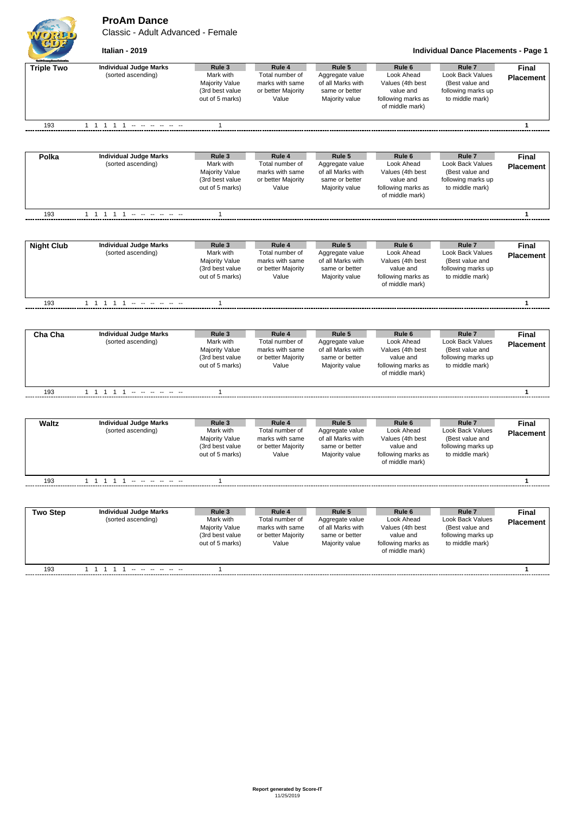**ProAm Dance**

Classic - Adult Advanced - Female



**Italian - 2019 Individual Dance Placements - Page 1**

| <b>Triple Two</b> | <b>Individual Judge Marks</b><br>(sorted ascending) | Rule 3<br>Mark with<br><b>Majority Value</b><br>(3rd best value<br>out of 5 marks) | Rule 4<br>Total number of<br>marks with same<br>or better Majority<br>Value | Rule 5<br>Aggregate value<br>of all Marks with<br>same or better<br>Majority value | Rule <sub>6</sub><br>Look Ahead<br>Values (4th best<br>value and<br>following marks as<br>of middle mark) | Rule 7<br>Look Back Values<br>(Best value and<br>following marks up<br>to middle mark)            | Final<br><b>Placement</b>        |
|-------------------|-----------------------------------------------------|------------------------------------------------------------------------------------|-----------------------------------------------------------------------------|------------------------------------------------------------------------------------|-----------------------------------------------------------------------------------------------------------|---------------------------------------------------------------------------------------------------|----------------------------------|
| 193               |                                                     | $\mathbf{1}$                                                                       |                                                                             |                                                                                    |                                                                                                           |                                                                                                   | $\mathbf{1}$                     |
|                   |                                                     |                                                                                    |                                                                             |                                                                                    |                                                                                                           |                                                                                                   |                                  |
| Polka             | <b>Individual Judge Marks</b><br>(sorted ascending) | Rule 3<br>Mark with<br><b>Majority Value</b><br>(3rd best value<br>out of 5 marks) | Rule 4<br>Total number of<br>marks with same<br>or better Majority<br>Value | Rule 5<br>Aggregate value<br>of all Marks with<br>same or better<br>Majority value | Rule <sub>6</sub><br>Look Ahead<br>Values (4th best<br>value and<br>following marks as<br>of middle mark) | Rule <sub>7</sub><br>Look Back Values<br>(Best value and<br>following marks up<br>to middle mark) | Final<br><b>Placement</b>        |
| 193               |                                                     | $\mathbf{1}$                                                                       |                                                                             |                                                                                    |                                                                                                           |                                                                                                   | 1                                |
| <b>Night Club</b> | <b>Individual Judge Marks</b>                       | Rule 3                                                                             | Rule 4                                                                      | Rule 5                                                                             | Rule <sub>6</sub>                                                                                         | Rule <sub>7</sub>                                                                                 | <b>Final</b>                     |
|                   | (sorted ascending)                                  | Mark with<br>Majority Value<br>(3rd best value<br>out of 5 marks)                  | Total number of<br>marks with same<br>or better Majority<br>Value           | Aggregate value<br>of all Marks with<br>same or better<br>Majority value           | Look Ahead<br>Values (4th best<br>value and<br>following marks as<br>of middle mark)                      | Look Back Values<br>(Best value and<br>following marks up<br>to middle mark)                      | <b>Placement</b>                 |
| 193               | 1 1 1 1 1 - - - - - -                               | $\mathbf{1}$                                                                       |                                                                             |                                                                                    |                                                                                                           |                                                                                                   | $\mathbf{1}$                     |
|                   |                                                     |                                                                                    |                                                                             |                                                                                    |                                                                                                           |                                                                                                   |                                  |
| Cha Cha           | <b>Individual Judge Marks</b><br>(sorted ascending) | Rule 3<br>Mark with<br>Majority Value<br>(3rd best value<br>out of 5 marks)        | Rule 4<br>Total number of<br>marks with same<br>or better Majority<br>Value | Rule 5<br>Aggregate value<br>of all Marks with<br>same or better<br>Majority value | Rule <sub>6</sub><br>Look Ahead<br>Values (4th best<br>value and<br>following marks as<br>of middle mark) | Rule <sub>7</sub><br>Look Back Values<br>(Best value and<br>following marks up<br>to middle mark) | <b>Final</b><br><b>Placement</b> |
| 193               | 1 1 1 1 1 - - - - - -                               | 1                                                                                  |                                                                             |                                                                                    |                                                                                                           |                                                                                                   | $\mathbf{1}$                     |
|                   |                                                     |                                                                                    |                                                                             |                                                                                    |                                                                                                           |                                                                                                   |                                  |
| <b>Waltz</b>      | <b>Individual Judge Marks</b><br>(sorted ascending) | Rule 3<br>Mark with<br><b>Majority Value</b><br>(3rd best value<br>out of 5 marks) | Rule 4<br>Total number of<br>marks with same<br>or better Majority<br>Value | Rule 5<br>Aggregate value<br>of all Marks with<br>same or better<br>Majority value | Rule <sub>6</sub><br>Look Ahead<br>Values (4th best<br>value and<br>following marks as<br>of middle mark) | Rule <sub>7</sub><br>Look Back Values<br>(Best value and<br>following marks up<br>to middle mark) | <b>Final</b><br><b>Placement</b> |
| 193               |                                                     | $\mathbf{1}$                                                                       |                                                                             |                                                                                    |                                                                                                           |                                                                                                   | 1                                |
|                   |                                                     |                                                                                    |                                                                             |                                                                                    |                                                                                                           |                                                                                                   |                                  |
| <b>Two Step</b>   | <b>Individual Judge Marks</b><br>(sorted ascending) | Rule 3<br>Mark with<br>Majority Value<br>(3rd best value<br>out of 5 marks)        | Rule 4<br>Total number of<br>marks with same<br>or better Majority<br>Value | Rule 5<br>Aggregate value<br>of all Marks with<br>same or better<br>Majority value | Rule <sub>6</sub><br>Look Ahead<br>Values (4th best<br>value and<br>following marks as<br>of middle mark) | Rule <sub>7</sub><br>Look Back Values<br>(Best value and<br>following marks up<br>to middle mark) | Final<br><b>Placement</b>        |
| 193               | 1 1 1 1 1 --                                        | 1                                                                                  |                                                                             |                                                                                    |                                                                                                           |                                                                                                   | 1                                |
|                   |                                                     |                                                                                    |                                                                             |                                                                                    |                                                                                                           |                                                                                                   |                                  |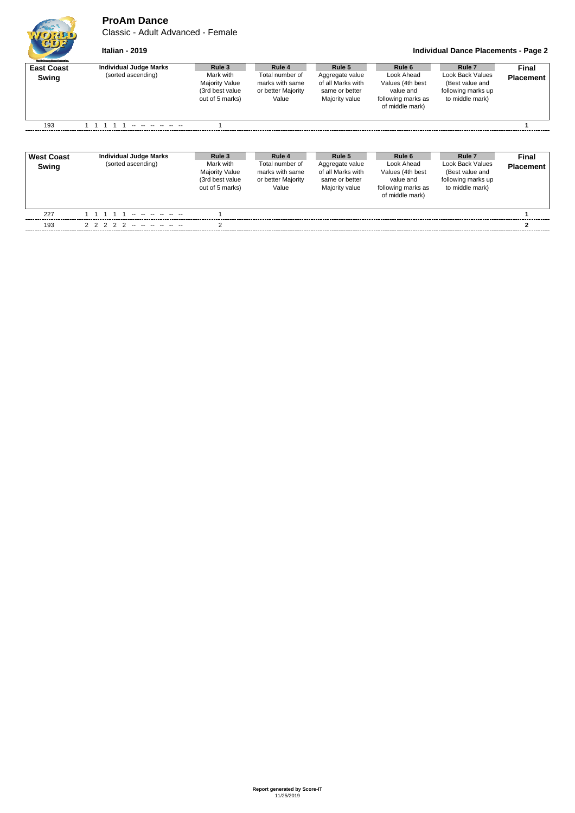**ProAm Dance**

Classic - Adult Advanced - Female



## **Italian - 2019 Individual Dance Placements - Page 2**

| <b>Guild Grantes Europe's density:</b> |                               |                                                                          |                                                                   |                                                                          |                                                                                      |                                                                              |                  |
|----------------------------------------|-------------------------------|--------------------------------------------------------------------------|-------------------------------------------------------------------|--------------------------------------------------------------------------|--------------------------------------------------------------------------------------|------------------------------------------------------------------------------|------------------|
| <b>East Coast</b>                      | <b>Individual Judge Marks</b> | Rule 3                                                                   | Rule 4                                                            | Rule 5                                                                   | Rule 6                                                                               | Rule 7                                                                       | Final            |
| Swing                                  | (sorted ascending)            | Mark with<br><b>Majority Value</b><br>(3rd best value<br>out of 5 marks) | Total number of<br>marks with same<br>or better Majority<br>Value | Aggregate value<br>of all Marks with<br>same or better<br>Majority value | Look Ahead<br>Values (4th best<br>value and<br>following marks as<br>of middle mark) | Look Back Values<br>(Best value and<br>following marks up<br>to middle mark) | <b>Placement</b> |
| 193                                    |                               |                                                                          |                                                                   |                                                                          |                                                                                      |                                                                              |                  |

| <b>West Coast</b><br>Swing | Individual Judge Marks<br>(sorted ascending) | Rule 3<br>Mark with<br><b>Majority Value</b><br>(3rd best value<br>out of 5 marks) | Rule 4<br>Total number of<br>marks with same<br>or better Majority<br>Value | Rule 5<br>Aggregate value<br>of all Marks with<br>same or better<br>Majority value | Rule 6<br>Look Ahead<br>Values (4th best<br>value and<br>following marks as<br>of middle mark) | Rule 7<br>Look Back Values<br>(Best value and<br>following marks up<br>to middle mark) | Final<br><b>Placement</b> |
|----------------------------|----------------------------------------------|------------------------------------------------------------------------------------|-----------------------------------------------------------------------------|------------------------------------------------------------------------------------|------------------------------------------------------------------------------------------------|----------------------------------------------------------------------------------------|---------------------------|
| 227                        | <u>.</u>                                     |                                                                                    |                                                                             |                                                                                    |                                                                                                |                                                                                        |                           |
| 193                        | 2 2 2 2 2 -- -- -- -- -- --                  |                                                                                    |                                                                             |                                                                                    |                                                                                                |                                                                                        |                           |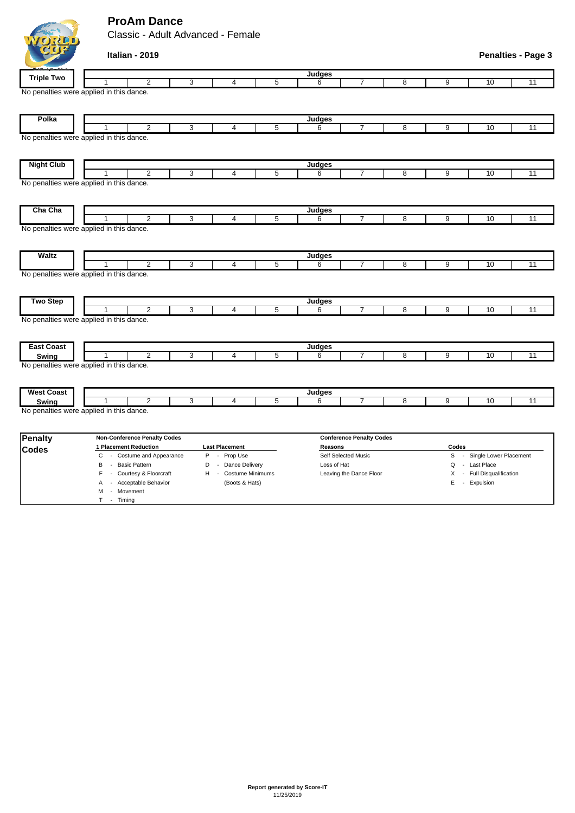## **ProAm Dance**

M - Movement T - Timing

Classic - Adult Advanced - Female

|                   | Italian - 2019                                |   |                       |                |               |                                 |                         |                |                            | <b>Penalties - Page 3</b> |
|-------------------|-----------------------------------------------|---|-----------------------|----------------|---------------|---------------------------------|-------------------------|----------------|----------------------------|---------------------------|
|                   |                                               |   |                       |                | Judges        |                                 |                         |                |                            |                           |
| <b>Triple Two</b> | $\overline{2}$                                | 3 | $\overline{4}$        | 5              | 6             | 7                               | 8                       | 9              | 10                         | 11                        |
|                   | No penalties were applied in this dance.      |   |                       |                |               |                                 |                         |                |                            |                           |
| Polka             |                                               |   |                       |                | Judges        |                                 |                         |                |                            |                           |
|                   | $\overline{2}$                                | 3 | 4                     | $\overline{5}$ | 6             | 7                               | $\overline{\mathbf{8}}$ | $\overline{9}$ | 10                         | 11                        |
|                   | No penalties were applied in this dance.      |   |                       |                |               |                                 |                         |                |                            |                           |
| <b>Night Club</b> |                                               |   |                       |                | <b>Judges</b> |                                 |                         |                |                            |                           |
|                   | 2                                             | 3 | $\overline{4}$        | 5              | 6             | $\overline{7}$                  | 8                       | 9              | 10                         | $\overline{11}$           |
|                   | No penalties were applied in this dance.      |   |                       |                |               |                                 |                         |                |                            |                           |
| Cha Cha           |                                               |   |                       |                | Judges        |                                 |                         |                |                            |                           |
|                   | 2<br>No penalties were applied in this dance. | 3 | $\overline{4}$        | 5              | 6             | $\overline{7}$                  | 8                       | 9              | 10                         | 11                        |
| <b>Waltz</b>      | 2                                             | 3 | 4                     | 5              | Judges<br>6   | 7                               | 8                       | 9              | 10                         | 11                        |
|                   | No penalties were applied in this dance.      |   |                       |                |               |                                 |                         |                |                            |                           |
| <b>Two Step</b>   | $\overline{2}$<br>1                           | 3 | $\overline{4}$        | $\overline{5}$ | Judges<br>6   | 7                               | 8                       | 9              | 10                         | 11                        |
| <b>East Coast</b> | No penalties were applied in this dance.      |   |                       |                | Judges        |                                 |                         |                |                            |                           |
| Swing             | $\overline{2}$                                | 3 | $\overline{4}$        | $\overline{5}$ | 6             | $\overline{7}$                  | 8                       | 9              | 10                         | 11                        |
|                   | No penalties were applied in this dance.      |   |                       |                |               |                                 |                         |                |                            |                           |
| <b>West Coast</b> |                                               |   |                       |                | Judges        |                                 |                         |                |                            |                           |
| Swing             | $\overline{2}$                                | 3 | $\overline{4}$        | 5              | 6             | $\overline{7}$                  | 8                       | 9              | 10                         | 11                        |
|                   | No penalties were applied in this dance.      |   |                       |                |               |                                 |                         |                |                            |                           |
| <b>Penalty</b>    | <b>Non-Conference Penalty Codes</b>           |   |                       |                |               | <b>Conference Penalty Codes</b> |                         |                |                            |                           |
| <b>Codes</b>      | 1 Placement Reduction                         |   | <b>Last Placement</b> |                | Reasons       |                                 |                         | Codes          |                            |                           |
|                   | - Costume and Appearance<br>C                 |   | P - Prop Use          |                |               | Self Selected Music             |                         |                | S - Single Lower Placement |                           |

B - Basic Pattern **D** - Dance Delivery Loss of Hat **Loss of Hat Q - Last Place** F - Courtesy & Floorcraft H - Costume Minimums Leaving the Dance Floor X - Full Disqualification A - Acceptable Behavior (Boots & Hats) E - Expulsion